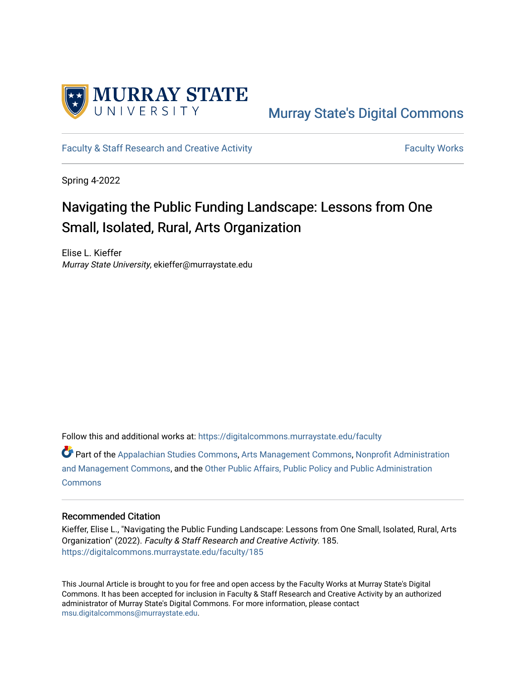

# [Murray State's Digital Commons](https://digitalcommons.murraystate.edu/)

[Faculty & Staff Research and Creative Activity](https://digitalcommons.murraystate.edu/faculty) Faculty Faculty Works

Spring 4-2022

# Navigating the Public Funding Landscape: Lessons from One Small, Isolated, Rural, Arts Organization

Elise L. Kieffer Murray State University, ekieffer@murraystate.edu

Follow this and additional works at: [https://digitalcommons.murraystate.edu/faculty](https://digitalcommons.murraystate.edu/faculty?utm_source=digitalcommons.murraystate.edu%2Ffaculty%2F185&utm_medium=PDF&utm_campaign=PDFCoverPages) 

Part of the [Appalachian Studies Commons,](https://network.bepress.com/hgg/discipline/1253?utm_source=digitalcommons.murraystate.edu%2Ffaculty%2F185&utm_medium=PDF&utm_campaign=PDFCoverPages) [Arts Management Commons,](https://network.bepress.com/hgg/discipline/1146?utm_source=digitalcommons.murraystate.edu%2Ffaculty%2F185&utm_medium=PDF&utm_campaign=PDFCoverPages) [Nonprofit Administration](https://network.bepress.com/hgg/discipline/1228?utm_source=digitalcommons.murraystate.edu%2Ffaculty%2F185&utm_medium=PDF&utm_campaign=PDFCoverPages)  [and Management Commons,](https://network.bepress.com/hgg/discipline/1228?utm_source=digitalcommons.murraystate.edu%2Ffaculty%2F185&utm_medium=PDF&utm_campaign=PDFCoverPages) and the [Other Public Affairs, Public Policy and Public Administration](https://network.bepress.com/hgg/discipline/403?utm_source=digitalcommons.murraystate.edu%2Ffaculty%2F185&utm_medium=PDF&utm_campaign=PDFCoverPages) **[Commons](https://network.bepress.com/hgg/discipline/403?utm_source=digitalcommons.murraystate.edu%2Ffaculty%2F185&utm_medium=PDF&utm_campaign=PDFCoverPages)** 

#### Recommended Citation

Kieffer, Elise L., "Navigating the Public Funding Landscape: Lessons from One Small, Isolated, Rural, Arts Organization" (2022). Faculty & Staff Research and Creative Activity. 185. [https://digitalcommons.murraystate.edu/faculty/185](https://digitalcommons.murraystate.edu/faculty/185?utm_source=digitalcommons.murraystate.edu%2Ffaculty%2F185&utm_medium=PDF&utm_campaign=PDFCoverPages) 

This Journal Article is brought to you for free and open access by the Faculty Works at Murray State's Digital Commons. It has been accepted for inclusion in Faculty & Staff Research and Creative Activity by an authorized administrator of Murray State's Digital Commons. For more information, please contact [msu.digitalcommons@murraystate.edu](mailto:msu.digitalcommons@murraystate.edu).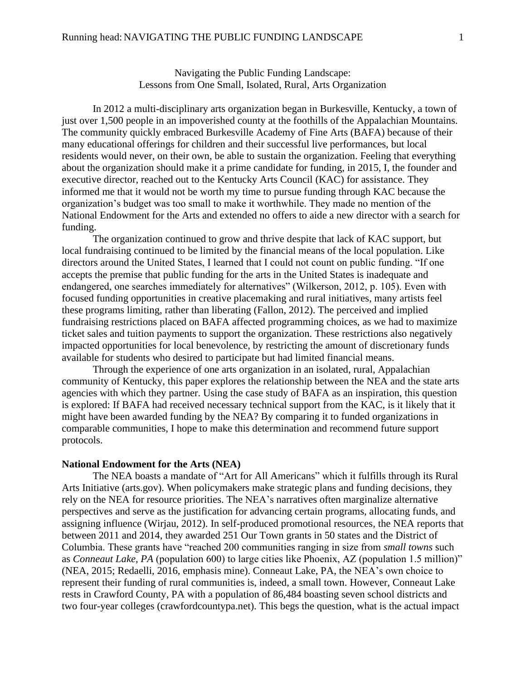Navigating the Public Funding Landscape: Lessons from One Small, Isolated, Rural, Arts Organization

In 2012 a multi-disciplinary arts organization began in Burkesville, Kentucky, a town of just over 1,500 people in an impoverished county at the foothills of the Appalachian Mountains. The community quickly embraced Burkesville Academy of Fine Arts (BAFA) because of their many educational offerings for children and their successful live performances, but local residents would never, on their own, be able to sustain the organization. Feeling that everything about the organization should make it a prime candidate for funding, in 2015, I, the founder and executive director, reached out to the Kentucky Arts Council (KAC) for assistance. They informed me that it would not be worth my time to pursue funding through KAC because the organization's budget was too small to make it worthwhile. They made no mention of the National Endowment for the Arts and extended no offers to aide a new director with a search for funding.

The organization continued to grow and thrive despite that lack of KAC support, but local fundraising continued to be limited by the financial means of the local population. Like directors around the United States, I learned that I could not count on public funding. "If one accepts the premise that public funding for the arts in the United States is inadequate and endangered, one searches immediately for alternatives" (Wilkerson, 2012, p. 105). Even with focused funding opportunities in creative placemaking and rural initiatives, many artists feel these programs limiting, rather than liberating (Fallon, 2012). The perceived and implied fundraising restrictions placed on BAFA affected programming choices, as we had to maximize ticket sales and tuition payments to support the organization. These restrictions also negatively impacted opportunities for local benevolence, by restricting the amount of discretionary funds available for students who desired to participate but had limited financial means.

Through the experience of one arts organization in an isolated, rural, Appalachian community of Kentucky, this paper explores the relationship between the NEA and the state arts agencies with which they partner. Using the case study of BAFA as an inspiration, this question is explored: If BAFA had received necessary technical support from the KAC, is it likely that it might have been awarded funding by the NEA? By comparing it to funded organizations in comparable communities, I hope to make this determination and recommend future support protocols.

#### **National Endowment for the Arts (NEA)**

The NEA boasts a mandate of "Art for All Americans" which it fulfills through its Rural Arts Initiative (arts.gov). When policymakers make strategic plans and funding decisions, they rely on the NEA for resource priorities. The NEA's narratives often marginalize alternative perspectives and serve as the justification for advancing certain programs, allocating funds, and assigning influence (Wirjau, 2012). In self-produced promotional resources, the NEA reports that between 2011 and 2014, they awarded 251 Our Town grants in 50 states and the District of Columbia. These grants have "reached 200 communities ranging in size from *small towns* such as *Conneaut Lake, PA* (population 600) to large cities like Phoenix, AZ (population 1.5 million)" (NEA, 2015; Redaelli, 2016, emphasis mine). Conneaut Lake, PA, the NEA's own choice to represent their funding of rural communities is, indeed, a small town. However, Conneaut Lake rests in Crawford County, PA with a population of 86,484 boasting seven school districts and two four-year colleges (crawfordcountypa.net). This begs the question, what is the actual impact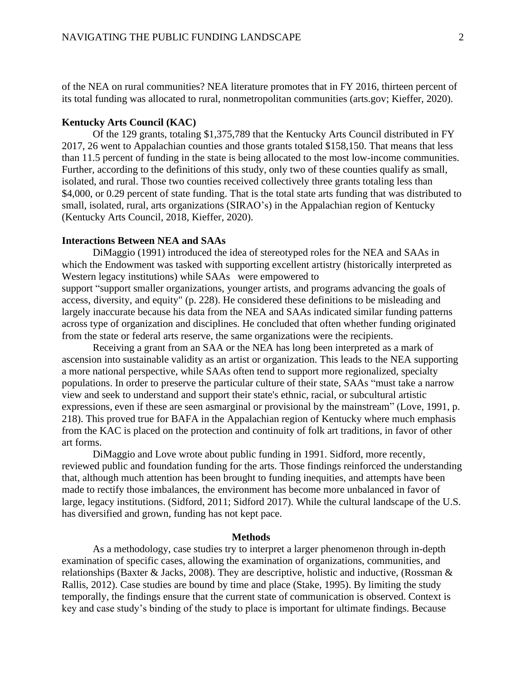of the NEA on rural communities? NEA literature promotes that in FY 2016, thirteen percent of its total funding was allocated to rural, nonmetropolitan communities (arts.gov; Kieffer, 2020).

### **Kentucky Arts Council (KAC)**

Of the 129 grants, totaling \$1,375,789 that the Kentucky Arts Council distributed in FY 2017, 26 went to Appalachian counties and those grants totaled \$158,150. That means that less than 11.5 percent of funding in the state is being allocated to the most low-income communities. Further, according to the definitions of this study, only two of these counties qualify as small, isolated, and rural. Those two counties received collectively three grants totaling less than \$4,000, or 0.29 percent of state funding. That is the total state arts funding that was distributed to small, isolated, rural, arts organizations (SIRAO's) in the Appalachian region of Kentucky (Kentucky Arts Council, 2018, Kieffer, 2020).

#### **Interactions Between NEA and SAAs**

DiMaggio (1991) introduced the idea of stereotyped roles for the NEA and SAAs in which the Endowment was tasked with supporting excellent artistry (historically interpreted as Western legacy institutions) while SAAs were empowered to support "support smaller organizations, younger artists, and programs advancing the goals of access, diversity, and equity" (p. 228). He considered these definitions to be misleading and largely inaccurate because his data from the NEA and SAAs indicated similar funding patterns across type of organization and disciplines. He concluded that often whether funding originated from the state or federal arts reserve, the same organizations were the recipients.

Receiving a grant from an SAA or the NEA has long been interpreted as a mark of ascension into sustainable validity as an artist or organization. This leads to the NEA supporting a more national perspective, while SAAs often tend to support more regionalized, specialty populations. In order to preserve the particular culture of their state, SAAs "must take a narrow view and seek to understand and support their state's ethnic, racial, or subcultural artistic expressions, even if these are seen asmarginal or provisional by the mainstream" (Love, 1991, p. 218). This proved true for BAFA in the Appalachian region of Kentucky where much emphasis from the KAC is placed on the protection and continuity of folk art traditions, in favor of other art forms.

DiMaggio and Love wrote about public funding in 1991. Sidford, more recently, reviewed public and foundation funding for the arts. Those findings reinforced the understanding that, although much attention has been brought to funding inequities, and attempts have been made to rectify those imbalances, the environment has become more unbalanced in favor of large, legacy institutions. (Sidford, 2011; Sidford 2017). While the cultural landscape of the U.S. has diversified and grown, funding has not kept pace.

#### **Methods**

As a methodology, case studies try to interpret a larger phenomenon through in-depth examination of specific cases, allowing the examination of organizations, communities, and relationships (Baxter & Jacks, 2008). They are descriptive, holistic and inductive, (Rossman & Rallis, 2012). Case studies are bound by time and place (Stake, 1995). By limiting the study temporally, the findings ensure that the current state of communication is observed. Context is key and case study's binding of the study to place is important for ultimate findings. Because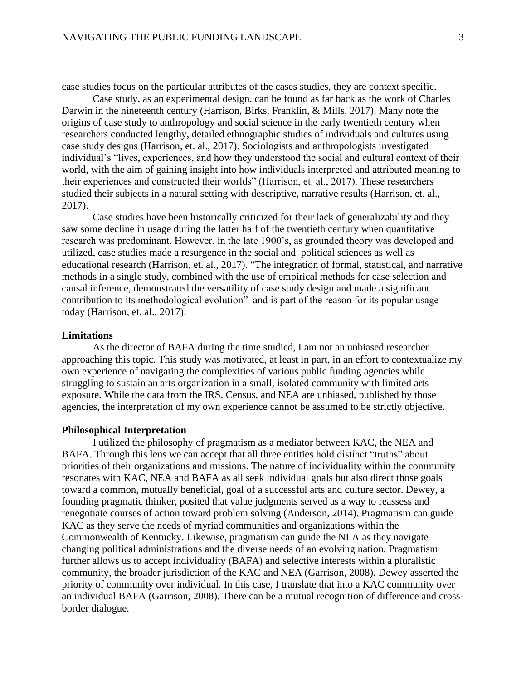case studies focus on the particular attributes of the cases studies, they are context specific.

Case study, as an experimental design, can be found as far back as the work of Charles Darwin in the nineteenth century (Harrison, Birks, Franklin, & Mills, 2017). Many note the origins of case study to anthropology and social science in the early twentieth century when researchers conducted lengthy, detailed ethnographic studies of individuals and cultures using case study designs (Harrison, et. al., 2017). Sociologists and anthropologists investigated individual's "lives, experiences, and how they understood the social and cultural context of their world, with the aim of gaining insight into how individuals interpreted and attributed meaning to their experiences and constructed their worlds" (Harrison, et. al., 2017). These researchers studied their subjects in a natural setting with descriptive, narrative results (Harrison, et. al., 2017).

Case studies have been historically criticized for their lack of generalizability and they saw some decline in usage during the latter half of the twentieth century when quantitative research was predominant. However, in the late 1900's, as grounded theory was developed and utilized, case studies made a resurgence in the social and political sciences as well as educational research (Harrison, et. al., 2017). "The integration of formal, statistical, and narrative methods in a single study, combined with the use of empirical methods for case selection and causal inference, demonstrated the versatility of case study design and made a significant contribution to its methodological evolution" and is part of the reason for its popular usage today (Harrison, et. al., 2017).

# **Limitations**

As the director of BAFA during the time studied, I am not an unbiased researcher approaching this topic. This study was motivated, at least in part, in an effort to contextualize my own experience of navigating the complexities of various public funding agencies while struggling to sustain an arts organization in a small, isolated community with limited arts exposure. While the data from the IRS, Census, and NEA are unbiased, published by those agencies, the interpretation of my own experience cannot be assumed to be strictly objective.

#### **Philosophical Interpretation**

I utilized the philosophy of pragmatism as a mediator between KAC, the NEA and BAFA. Through this lens we can accept that all three entities hold distinct "truths" about priorities of their organizations and missions. The nature of individuality within the community resonates with KAC, NEA and BAFA as all seek individual goals but also direct those goals toward a common, mutually beneficial, goal of a successful arts and culture sector. Dewey, a founding pragmatic thinker, posited that value judgments served as a way to reassess and renegotiate courses of action toward problem solving (Anderson, 2014). Pragmatism can guide KAC as they serve the needs of myriad communities and organizations within the Commonwealth of Kentucky. Likewise, pragmatism can guide the NEA as they navigate changing political administrations and the diverse needs of an evolving nation. Pragmatism further allows us to accept individuality (BAFA) and selective interests within a pluralistic community, the broader jurisdiction of the KAC and NEA (Garrison, 2008). Dewey asserted the priority of community over individual. In this case, I translate that into a KAC community over an individual BAFA (Garrison, 2008). There can be a mutual recognition of difference and crossborder dialogue.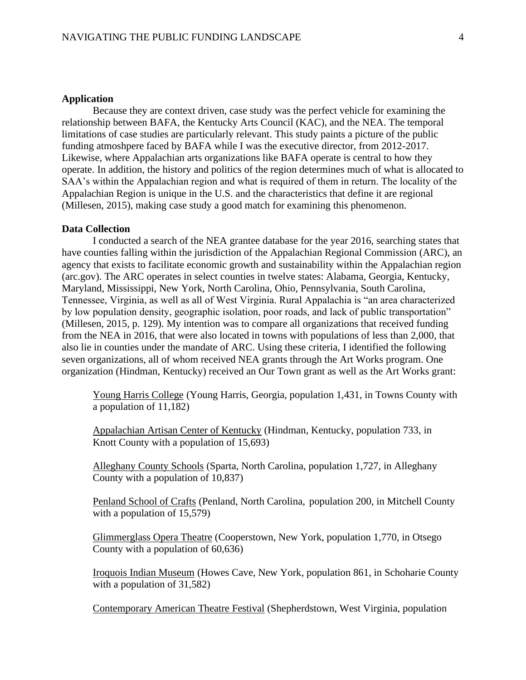### **Application**

Because they are context driven, case study was the perfect vehicle for examining the relationship between BAFA, the Kentucky Arts Council (KAC), and the NEA. The temporal limitations of case studies are particularly relevant. This study paints a picture of the public funding atmoshpere faced by BAFA while I was the executive director, from 2012-2017. Likewise, where Appalachian arts organizations like BAFA operate is central to how they operate. In addition, the history and politics of the region determines much of what is allocated to SAA's within the Appalachian region and what is required of them in return. The locality of the Appalachian Region is unique in the U.S. and the characteristics that define it are regional (Millesen, 2015), making case study a good match for examining this phenomenon.

#### **Data Collection**

I conducted a search of the NEA grantee database for the year 2016, searching states that have counties falling within the jurisdiction of the Appalachian Regional Commission (ARC), an agency that exists to facilitate economic growth and sustainability within the Appalachian region (arc.gov). The ARC operates in select counties in twelve states: Alabama, Georgia, Kentucky, Maryland, Mississippi, New York, North Carolina, Ohio, Pennsylvania, South Carolina, Tennessee, Virginia, as well as all of West Virginia. Rural Appalachia is "an area characterized by low population density, geographic isolation, poor roads, and lack of public transportation" (Millesen, 2015, p. 129). My intention was to compare all organizations that received funding from the NEA in 2016, that were also located in towns with populations of less than 2,000, that also lie in counties under the mandate of ARC. Using these criteria, I identified the following seven organizations, all of whom received NEA grants through the Art Works program. One organization (Hindman, Kentucky) received an Our Town grant as well as the Art Works grant:

Young Harris College (Young Harris, Georgia, population 1,431, in Towns County with a population of 11,182)

Appalachian Artisan Center of Kentucky (Hindman, Kentucky, population 733, in Knott County with a population of 15,693)

Alleghany County Schools (Sparta, North Carolina, population 1,727, in Alleghany County with a population of 10,837)

Penland School of Crafts (Penland, North Carolina, population 200, in Mitchell County with a population of 15,579)

Glimmerglass Opera Theatre (Cooperstown, New York, population 1,770, in Otsego County with a population of 60,636)

Iroquois Indian Museum (Howes Cave, New York, population 861, in Schoharie County with a population of 31,582)

Contemporary American Theatre Festival (Shepherdstown, West Virginia, population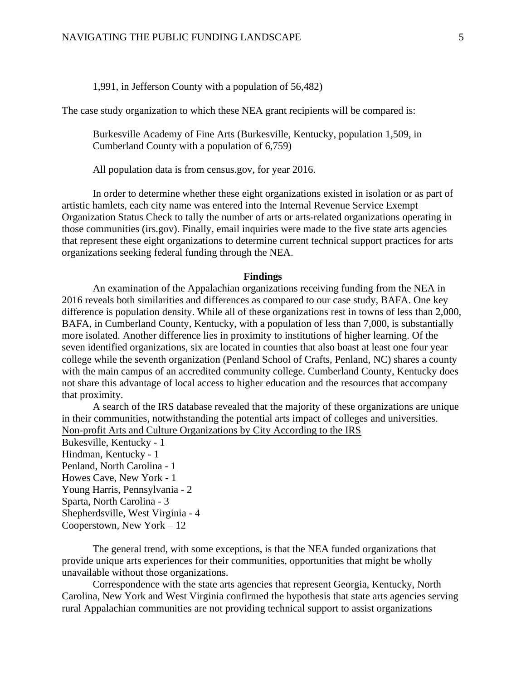#### 1,991, in Jefferson County with a population of 56,482)

The case study organization to which these NEA grant recipients will be compared is:

Burkesville Academy of Fine Arts (Burkesville, Kentucky, population 1,509, in Cumberland County with a population of 6,759)

All population data is from census.gov, for year 2016.

In order to determine whether these eight organizations existed in isolation or as part of artistic hamlets, each city name was entered into the Internal Revenue Service Exempt Organization Status Check to tally the number of arts or arts-related organizations operating in those communities (irs.gov). Finally, email inquiries were made to the five state arts agencies that represent these eight organizations to determine current technical support practices for arts organizations seeking federal funding through the NEA.

#### **Findings**

An examination of the Appalachian organizations receiving funding from the NEA in 2016 reveals both similarities and differences as compared to our case study, BAFA. One key difference is population density. While all of these organizations rest in towns of less than 2,000, BAFA, in Cumberland County, Kentucky, with a population of less than 7,000, is substantially more isolated. Another difference lies in proximity to institutions of higher learning. Of the seven identified organizations, six are located in counties that also boast at least one four year college while the seventh organization (Penland School of Crafts, Penland, NC) shares a county with the main campus of an accredited community college. Cumberland County, Kentucky does not share this advantage of local access to higher education and the resources that accompany that proximity.

A search of the IRS database revealed that the majority of these organizations are unique in their communities, notwithstanding the potential arts impact of colleges and universities. Non-profit Arts and Culture Organizations by City According to the IRS Bukesville, Kentucky - 1 Hindman, Kentucky - 1 Penland, North Carolina - 1 Howes Cave, New York - 1 Young Harris, Pennsylvania - 2 Sparta, North Carolina - 3 Shepherdsville, West Virginia - 4 Cooperstown, New York – 12

The general trend, with some exceptions, is that the NEA funded organizations that provide unique arts experiences for their communities, opportunities that might be wholly unavailable without those organizations.

Correspondence with the state arts agencies that represent Georgia, Kentucky, North Carolina, New York and West Virginia confirmed the hypothesis that state arts agencies serving rural Appalachian communities are not providing technical support to assist organizations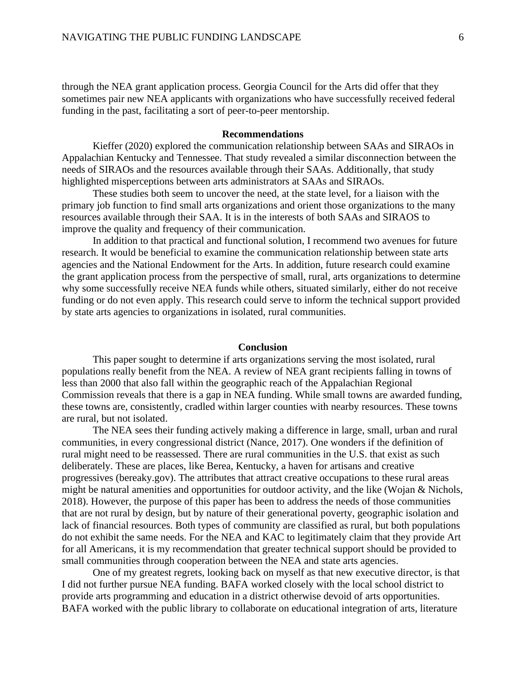through the NEA grant application process. Georgia Council for the Arts did offer that they sometimes pair new NEA applicants with organizations who have successfully received federal funding in the past, facilitating a sort of peer-to-peer mentorship.

#### **Recommendations**

Kieffer (2020) explored the communication relationship between SAAs and SIRAOs in Appalachian Kentucky and Tennessee. That study revealed a similar disconnection between the needs of SIRAOs and the resources available through their SAAs. Additionally, that study highlighted misperceptions between arts administrators at SAAs and SIRAOs.

These studies both seem to uncover the need, at the state level, for a liaison with the primary job function to find small arts organizations and orient those organizations to the many resources available through their SAA. It is in the interests of both SAAs and SIRAOS to improve the quality and frequency of their communication.

In addition to that practical and functional solution, I recommend two avenues for future research. It would be beneficial to examine the communication relationship between state arts agencies and the National Endowment for the Arts. In addition, future research could examine the grant application process from the perspective of small, rural, arts organizations to determine why some successfully receive NEA funds while others, situated similarly, either do not receive funding or do not even apply. This research could serve to inform the technical support provided by state arts agencies to organizations in isolated, rural communities.

#### **Conclusion**

This paper sought to determine if arts organizations serving the most isolated, rural populations really benefit from the NEA. A review of NEA grant recipients falling in towns of less than 2000 that also fall within the geographic reach of the Appalachian Regional Commission reveals that there is a gap in NEA funding. While small towns are awarded funding, these towns are, consistently, cradled within larger counties with nearby resources. These towns are rural, but not isolated.

The NEA sees their funding actively making a difference in large, small, urban and rural communities, in every congressional district (Nance, 2017). One wonders if the definition of rural might need to be reassessed. There are rural communities in the U.S. that exist as such deliberately. These are places, like Berea, Kentucky, a haven for artisans and creative progressives (bereaky.gov). The attributes that attract creative occupations to these rural areas might be natural amenities and opportunities for outdoor activity, and the like (Wojan & Nichols, 2018). However, the purpose of this paper has been to address the needs of those communities that are not rural by design, but by nature of their generational poverty, geographic isolation and lack of financial resources. Both types of community are classified as rural, but both populations do not exhibit the same needs. For the NEA and KAC to legitimately claim that they provide Art for all Americans, it is my recommendation that greater technical support should be provided to small communities through cooperation between the NEA and state arts agencies.

One of my greatest regrets, looking back on myself as that new executive director, is that I did not further pursue NEA funding. BAFA worked closely with the local school district to provide arts programming and education in a district otherwise devoid of arts opportunities. BAFA worked with the public library to collaborate on educational integration of arts, literature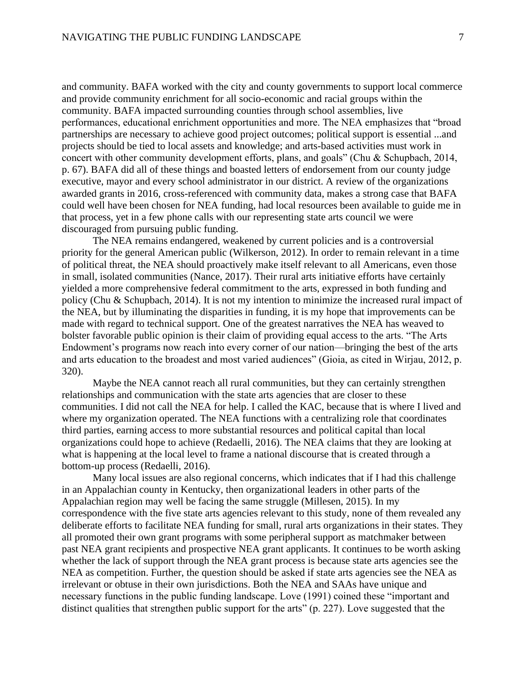and community. BAFA worked with the city and county governments to support local commerce and provide community enrichment for all socio-economic and racial groups within the community. BAFA impacted surrounding counties through school assemblies, live performances, educational enrichment opportunities and more. The NEA emphasizes that "broad partnerships are necessary to achieve good project outcomes; political support is essential ...and projects should be tied to local assets and knowledge; and arts-based activities must work in concert with other community development efforts, plans, and goals" (Chu & Schupbach, 2014, p. 67). BAFA did all of these things and boasted letters of endorsement from our county judge executive, mayor and every school administrator in our district. A review of the organizations awarded grants in 2016, cross-referenced with community data, makes a strong case that BAFA could well have been chosen for NEA funding, had local resources been available to guide me in that process, yet in a few phone calls with our representing state arts council we were discouraged from pursuing public funding.

The NEA remains endangered, weakened by current policies and is a controversial priority for the general American public (Wilkerson, 2012). In order to remain relevant in a time of political threat, the NEA should proactively make itself relevant to all Americans, even those in small, isolated communities (Nance, 2017). Their rural arts initiative efforts have certainly yielded a more comprehensive federal commitment to the arts, expressed in both funding and policy (Chu & Schupbach, 2014). It is not my intention to minimize the increased rural impact of the NEA, but by illuminating the disparities in funding, it is my hope that improvements can be made with regard to technical support. One of the greatest narratives the NEA has weaved to bolster favorable public opinion is their claim of providing equal access to the arts. "The Arts Endowment's programs now reach into every corner of our nation—bringing the best of the arts and arts education to the broadest and most varied audiences" (Gioia, as cited in Wirjau, 2012, p. 320).

Maybe the NEA cannot reach all rural communities, but they can certainly strengthen relationships and communication with the state arts agencies that are closer to these communities. I did not call the NEA for help. I called the KAC, because that is where I lived and where my organization operated. The NEA functions with a centralizing role that coordinates third parties, earning access to more substantial resources and political capital than local organizations could hope to achieve (Redaelli, 2016). The NEA claims that they are looking at what is happening at the local level to frame a national discourse that is created through a bottom-up process (Redaelli, 2016).

Many local issues are also regional concerns, which indicates that if I had this challenge in an Appalachian county in Kentucky, then organizational leaders in other parts of the Appalachian region may well be facing the same struggle (Millesen, 2015). In my correspondence with the five state arts agencies relevant to this study, none of them revealed any deliberate efforts to facilitate NEA funding for small, rural arts organizations in their states. They all promoted their own grant programs with some peripheral support as matchmaker between past NEA grant recipients and prospective NEA grant applicants. It continues to be worth asking whether the lack of support through the NEA grant process is because state arts agencies see the NEA as competition. Further, the question should be asked if state arts agencies see the NEA as irrelevant or obtuse in their own jurisdictions. Both the NEA and SAAs have unique and necessary functions in the public funding landscape. Love (1991) coined these "important and distinct qualities that strengthen public support for the arts" (p. 227). Love suggested that the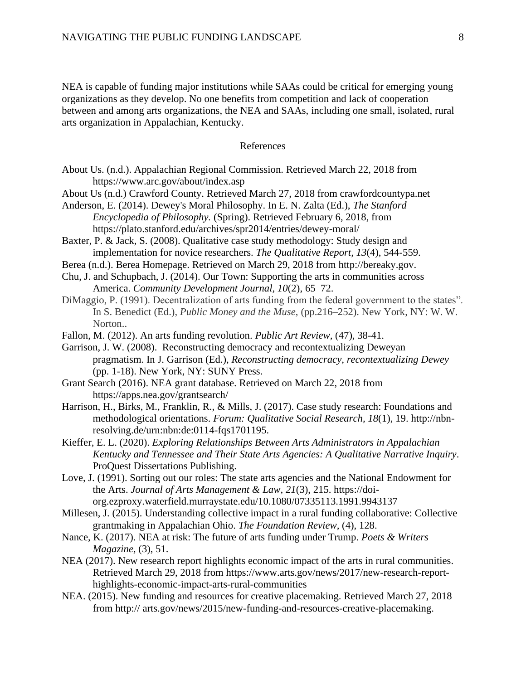NEA is capable of funding major institutions while SAAs could be critical for emerging young organizations as they develop. No one benefits from competition and lack of cooperation between and among arts organizations, the NEA and SAAs, including one small, isolated, rural arts organization in Appalachian, Kentucky.

## References

- About Us. (n.d.). Appalachian Regional Commission. Retrieved March 22, 2018 from https://www.arc.gov/about/index.asp
- About Us (n.d.) Crawford County. Retrieved March 27, 2018 from crawfordcountypa.net
- Anderson, E. (2014). Dewey's Moral Philosophy. In E. N. Zalta (Ed.), *The Stanford Encyclopedia of Philosophy.* (Spring). Retrieved February 6, 2018, from https://plato.stanford.edu/archives/spr2014/entries/dewey-moral/
- Baxter, P. & Jack, S. (2008). Qualitative case study methodology: Study design and implementation for novice researchers. *The Qualitative Report, 13*(4), 544-559.
- Berea (n.d.). Berea Homepage. Retrieved on March 29, 2018 from http://bereaky.gov.
- Chu, J. and Schupbach, J. (2014). Our Town: Supporting the arts in communities across America. *Community Development Journal, 10*(2), 65–72.
- DiMaggio, P. (1991). Decentralization of arts funding from the federal government to the states". In S. Benedict (Ed.), *Public Money and the Muse*, (pp.216–252). New York, NY: W. W. Norton..
- Fallon, M. (2012). An arts funding revolution. *Public Art Review,* (47), 38-41.
- Garrison, J. W. (2008). Reconstructing democracy and recontextualizing Deweyan pragmatism. In J. Garrison (Ed.), *Reconstructing democracy, recontextualizing Dewey*  (pp. 1-18). New York, NY: SUNY Press.
- Grant Search (2016). NEA grant database. Retrieved on March 22, 2018 from https://apps.nea.gov/grantsearch/
- Harrison, H., Birks, M., Franklin, R., & Mills, J. (2017). Case study research: Foundations and methodological orientations. *Forum: Qualitative Social Research, 18*(1), 19. http://nbnresolving.de/urn:nbn:de:0114-fqs1701195.
- Kieffer, E. L. (2020). *Exploring Relationships Between Arts Administrators in Appalachian Kentucky and Tennessee and Their State Arts Agencies: A Qualitative Narrative Inquiry*. ProQuest Dissertations Publishing.
- Love, J. (1991). Sorting out our roles: The state arts agencies and the National Endowment for the Arts. *Journal of Arts Management & Law, 21*(3), 215. https://doiorg.ezproxy.waterfield.murraystate.edu/10.1080/07335113.1991.9943137
- Millesen, J. (2015). Understanding collective impact in a rural funding collaborative: Collective grantmaking in Appalachian Ohio. *The Foundation Review,* (4), 128.
- Nance, K. (2017). NEA at risk: The future of arts funding under Trump. *Poets & Writers Magazine,* (3), 51.
- NEA (2017). New research report highlights economic impact of the arts in rural communities. Retrieved March 29, 2018 from https://www.arts.gov/news/2017/new-research-reporthighlights-economic-impact-arts-rural-communities
- NEA. (2015). New funding and resources for creative placemaking. Retrieved March 27, 2018 from http:// arts.gov/news/2015/new-funding-and-resources-creative-placemaking.